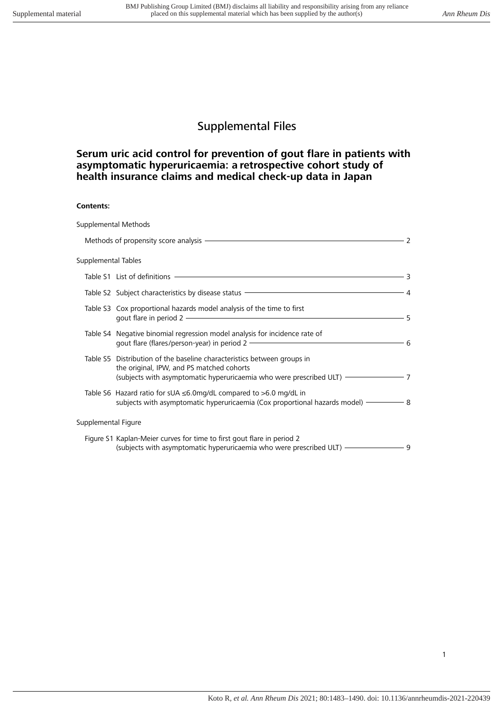# Supplemental Files

# **Serum uric acid control for prevention of gout flare in patients with asymptomatic hyperuricaemia: a retrospective cohort study of health insurance claims and medical check-up data in Japan**

#### **Contents:**

|                     | Supplemental Methods                                                                                                                                                                                                                                                                                         |      |
|---------------------|--------------------------------------------------------------------------------------------------------------------------------------------------------------------------------------------------------------------------------------------------------------------------------------------------------------|------|
|                     |                                                                                                                                                                                                                                                                                                              | 2    |
| Supplemental Tables |                                                                                                                                                                                                                                                                                                              |      |
|                     | Table S1 List of definitions <b>CONSUMERS</b>                                                                                                                                                                                                                                                                | — 3  |
|                     | Table S2 Subject characteristics by disease status <b>COVID-100</b> COVID-100 COVID-100                                                                                                                                                                                                                      | - 4  |
|                     | Table S3 Cox proportional hazards model analysis of the time to first<br>gout flare in period 2 - The Context of the Context of the Context of the Context of the Context of the Context of the Context of the Context of the Context of the Context of the Context of the Context of the Context of th      | - 5  |
|                     | Table S4 Negative binomial regression model analysis for incidence rate of<br>gout flare (flares/person-year) in period 2 - The manufacture of the state of the state of the state of the state of the state of the state of the state of the state of the state of the state of the state of the state of t | - 6  |
|                     | Table S5 Distribution of the baseline characteristics between groups in<br>the original, IPW, and PS matched cohorts<br>(subjects with asymptomatic hyperuricaemia who were prescribed ULT) - The manner of                                                                                                  | $-7$ |
|                     | Table S6 Hazard ratio for sUA $\leq$ 6.0mg/dL compared to $>$ 6.0 mg/dL in<br>subjects with asymptomatic hyperuricaemia (Cox proportional hazards model) — 8                                                                                                                                                 |      |
| Supplemental Figure |                                                                                                                                                                                                                                                                                                              |      |
|                     | Figure S1 Kaplan-Meier curves for time to first gout flare in period 2<br>(subjects with asymptomatic hyperuricaemia who were prescribed ULT) ———————                                                                                                                                                        | - 9  |

1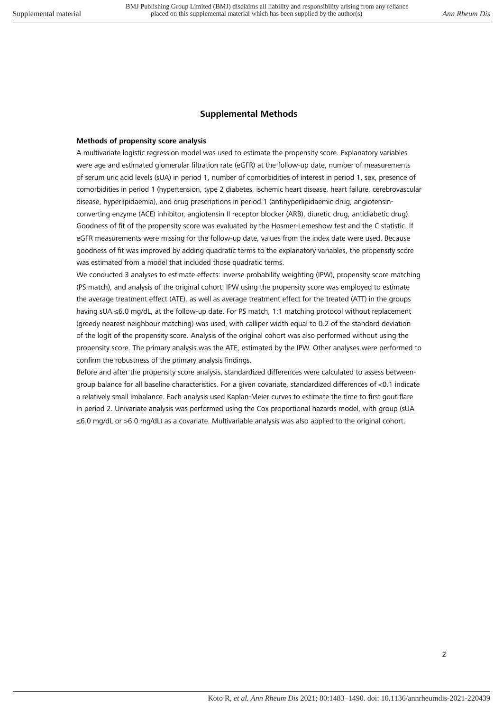#### **Supplemental Methods**

#### **Methods of propensity score analysis**

A multivariate logistic regression model was used to estimate the propensity score. Explanatory variables were age and estimated glomerular filtration rate (eGFR) at the follow-up date, number of measurements of serum uric acid levels (sUA) in period 1, number of comorbidities of interest in period 1, sex, presence of comorbidities in period 1 (hypertension, type 2 diabetes, ischemic heart disease, heart failure, cerebrovascular disease, hyperlipidaemia), and drug prescriptions in period 1 (antihyperlipidaemic drug, angiotensinconverting enzyme (ACE) inhibitor, angiotensin II receptor blocker (ARB), diuretic drug, antidiabetic drug). Goodness of fit of the propensity score was evaluated by the Hosmer-Lemeshow test and the C statistic. If eGFR measurements were missing for the follow-up date, values from the index date were used. Because goodness of fit was improved by adding quadratic terms to the explanatory variables, the propensity score was estimated from a model that included those quadratic terms.

We conducted 3 analyses to estimate effects: inverse probability weighting (IPW), propensity score matching (PS match), and analysis of the original cohort. IPW using the propensity score was employed to estimate the average treatment effect (ATE), as well as average treatment effect for the treated (ATT) in the groups having sUA ≤6.0 mg/dL, at the follow-up date. For PS match, 1:1 matching protocol without replacement (greedy nearest neighbour matching) was used, with calliper width equal to 0.2 of the standard deviation of the logit of the propensity score. Analysis of the original cohort was also performed without using the propensity score. The primary analysis was the ATE, estimated by the IPW. Other analyses were performed to confirm the robustness of the primary analysis findings.

Before and after the propensity score analysis, standardized differences were calculated to assess betweengroup balance for all baseline characteristics. For a given covariate, standardized differences of <0.1 indicate a relatively small imbalance. Each analysis used Kaplan-Meier curves to estimate the time to first gout flare in period 2. Univariate analysis was performed using the Cox proportional hazards model, with group (sUA ≤6.0 mg/dL or >6.0 mg/dL) as a covariate. Multivariable analysis was also applied to the original cohort.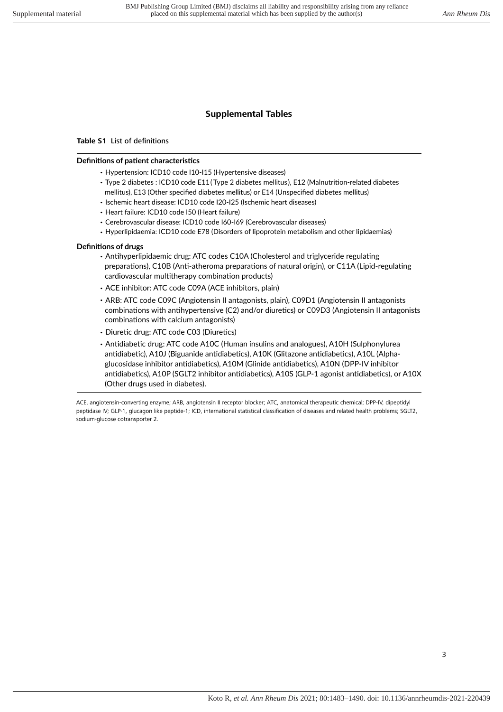## **Supplemental Tables**

#### **Table S1** List of definitions

#### **Definitions of patient characteristics**

- · Hypertension: ICD10 code I10-I15 (Hypertensive diseases)
- · Type 2 diabetes : ICD10 code E11 ( Type 2 diabetes mellitus), E12 (Malnutrition-related diabetes mellitus), E13 (Other specified diabetes mellitus) or E14 (Unspecified diabetes mellitus)
- · Ischemic heart disease: ICD10 code I20-I25 (Ischemic heart diseases)
- · Heart failure: ICD10 code I50 (Heart failure)
- · Cerebrovascular disease: ICD10 code I60-I69 (Cerebrovascular diseases)
- · Hyperlipidaemia: ICD10 code E78 (Disorders of lipoprotein metabolism and other lipidaemias)

#### **Definitions of drugs**

- · Antihyperlipidaemic drug: ATC codes C10A (Cholesterol and triglyceride regulating preparations), C10B (Anti-atheroma preparations of natural origin), or C11A (Lipid-regulating cardiovascular multitherapy combination products)
- · ACE inhibitor: ATC code C09A (ACE inhibitors, plain)
- · ARB: ATC code C09C (Angiotensin II antagonists, plain), C09D1 (Angiotensin II antagonists combinations with antihypertensive (C2) and/or diuretics) or C09D3 (Angiotensin II antagonists combinations with calcium antagonists)
- · Diuretic drug: ATC code C03 (Diuretics)
- · Antidiabetic drug: ATC code A10C (Human insulins and analogues), A10H (Sulphonylurea antidiabetic), A10J (Biguanide antidiabetics), A10K (Glitazone antidiabetics), A10L (Alphaglucosidase inhibitor antidiabetics), A10M (Glinide antidiabetics), A10N (DPP-IV inhibitor antidiabetics), A10P (SGLT2 inhibitor antidiabetics), A10S (GLP-1 agonist antidiabetics), or A10X (Other drugs used in diabetes).

ACE, angiotensin-converting enzyme; ARB, angiotensin II receptor blocker; ATC, anatomical therapeutic chemical; DPP-IV, dipeptidyl peptidase IV; GLP-1, glucagon like peptide-1; ICD, international statistical classification of diseases and related health problems; SGLT2, sodium-glucose cotransporter 2.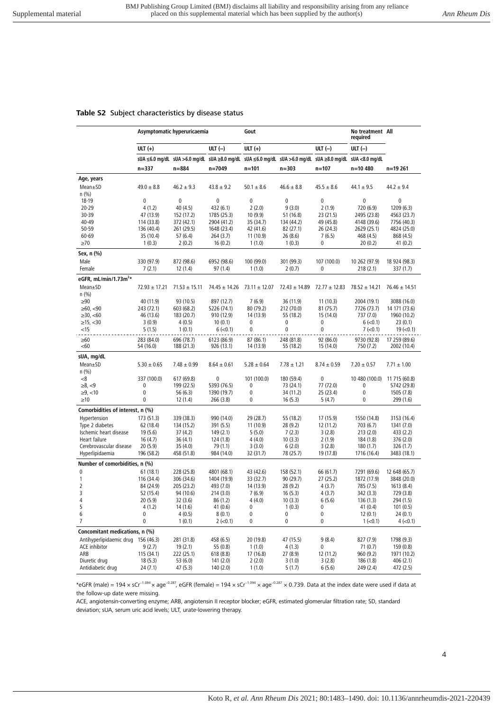#### **Table S2** Subject characteristics by disease status

|                                          |                         | Asymptomatic hyperuricaemia |                           | Gout                   |                                                                                                          |                        | No treatment All<br>required |                              |
|------------------------------------------|-------------------------|-----------------------------|---------------------------|------------------------|----------------------------------------------------------------------------------------------------------|------------------------|------------------------------|------------------------------|
|                                          | ULT $(+)$               |                             | ULT $(-)$                 | ULT $(+)$              |                                                                                                          | ULT $(-)$              | ULT $(-)$                    |                              |
|                                          |                         |                             |                           |                        | sUA ≤6.0 mg/dL sUA >6.0 mg/dL sUA ≥8.0 mg/dL sUA ≤6.0 mg/dL sUA >6.0 mg/dL sUA ≥8.0 mg/dL sUA <8.0 mg/dL |                        |                              |                              |
|                                          | $n = 337$               | $n = 884$                   | n=7049                    | $n = 101$              | $n = 303$                                                                                                | n=107                  | n=10 480                     | n=19 261                     |
| Age, years                               |                         |                             |                           |                        |                                                                                                          |                        |                              |                              |
| $Mean \pm SD$                            | $49.0 \pm 8.8$          | $46.2 \pm 9.3$              | $43.8 \pm 9.2$            | $50.1 \pm 8.6$         | $46.6 \pm 8.8$                                                                                           | $45.5 \pm 8.6$         | $44.1 \pm 9.5$               | $44.2 \pm 9.4$               |
| n (%)                                    |                         |                             |                           |                        |                                                                                                          |                        |                              |                              |
| 18-19                                    | $\mathbf{0}$            | $\mathbf 0$                 | $\mathbf{0}$              | $\mathbf{0}$           | $\mathbf 0$                                                                                              | 0                      | $\mathbf 0$                  | 0                            |
| $20 - 29$<br>30-39                       | 4(1.2)<br>47 (13.9)     | 40(4.5)<br>152 (17.2)       | 432 (6.1)<br>1785 (25.3)  | 2(2.0)<br>10(9.9)      | 9(3.0)<br>51 (16.8)                                                                                      | 2(1.9)<br>23 (21.5)    | 720 (6.9)<br>2495 (23.8)     | 1209 (6.3)<br>4563 (23.7)    |
| 40-49                                    | 114 (33.8)              | 372 (42.1)                  | 2904 (41.2)               | 35 (34.7)              | 134 (44.2)                                                                                               | 49 (45.8)              | 4148 (39.6)                  | 7756 (40.3)                  |
| 50-59                                    | 136 (40.4)              | 261 (29.5)                  | 1648 (23.4)               | 42 (41.6)              | 82 (27.1)                                                                                                | 26 (24.3)              | 2629 (25.1)                  | 4824 (25.0)                  |
| $60 - 69$                                | 35 (10.4)               | 57(6.4)                     | 264 (3.7)                 | 11(10.9)               | 26(8.6)                                                                                                  | 7(6.5)                 | 468 (4.5)                    | 868 (4.5)                    |
| $\geq 70$                                | 1(0.3)                  | 2(0.2)                      | 16(0.2)                   | 1(1.0)                 | 1(0.3)                                                                                                   | 0                      | 20(0.2)                      | 41(0.2)                      |
| Sex, n (%)                               |                         |                             |                           |                        |                                                                                                          |                        |                              |                              |
| Male                                     | 330 (97.9)              | 872 (98.6)                  | 6952 (98.6)               | 100 (99.0)             | 301 (99.3)                                                                                               | 107 (100.0)            | 10 262 (97.9)                | 18 924 (98.3)                |
| Female                                   | 7(2.1)                  | 12(1.4)                     | 97 (1.4)                  | 1(1.0)                 | 2(0.7)                                                                                                   | 0                      | 218(2.1)                     | 337 (1.7)                    |
| eGFR, mL/min/1.73m <sup>2</sup> *        |                         |                             |                           |                        |                                                                                                          |                        |                              |                              |
| Mean±SD                                  | $72.93 \pm 17.21$       | $71.53 \pm 15.11$           | $74.45 \pm 14.26$         | $73.11 \pm 12.07$      | $72.43 \pm 14.89$                                                                                        | $72.77 \pm 12.83$      | $78.52 \pm 14.21$            | $76.46 \pm 14.51$            |
| n (%)                                    |                         |                             |                           |                        |                                                                                                          |                        |                              |                              |
| $\geq 90$                                | 40 (11.9)               | 93 (10.5)                   | 897 (12.7)                | 7(6.9)                 | 36 (11.9)                                                                                                | 11(10.3)               | 2004 (19.1)                  | 3088 (16.0)                  |
| ≥60, < 90                                | 243 (72.1)              | 603 (68.2)                  | 5226 (74.1)               | 80 (79.2)              | 212 (70.0)                                                                                               | 81(75.7)               | 7726 (73.7)                  | 14 171 (73.6)                |
| $\geq 30, \leq 60$                       | 46 (13.6)               | 183 (20.7)                  | 910 (12.9)                | 14 (13.9)              | 55 (18.2)                                                                                                | 15 (14.0)              | 737 (7.0)                    | 1960 (10.2)                  |
| ≥15, < 30<br>$<$ 15                      | 3(0.9)                  | 4(0.5)                      | 10(0.1)<br>$6$ ( $<$ 0.1) | $\mathbf 0$<br>0       | 0<br>0                                                                                                   | 0<br>0                 | $6$ ( $<$ 0.1)<br>$7 (-0.1)$ | 23(0.1)<br>$19 (=0.1)$       |
|                                          | 5(1.5)                  | 1(0.1)                      |                           |                        |                                                                                                          |                        |                              |                              |
| $\geq 60$<br>< 60                        | 283 (84.0)<br>54 (16.0) | 696 (78.7)<br>188 (21.3)    | 6123 (86.9)<br>926 (13.1) | 87 (86.1)<br>14 (13.9) | 248 (81.8)<br>55 (18.2)                                                                                  | 92 (86.0)<br>15 (14.0) | 9730 (92.8)<br>750 (7.2)     | 17 259 (89.6)<br>2002 (10.4) |
| sUA, mg/dL                               |                         |                             |                           |                        |                                                                                                          |                        |                              |                              |
| Mean±SD<br>n (%)                         | $5.30 \pm 0.65$         | $7.48 \pm 0.99$             | $8.64 \pm 0.61$           | $5.28 \pm 0.64$        | $7.78 \pm 1.21$                                                                                          | $8.74 \pm 0.59$        | $7.20 \pm 0.57$              | $7.71 \pm 1.00$              |
| -8                                       | 337 (100.0)             | 617 (69.8)                  | 0                         | 101 (100.0)            | 180 (59.4)                                                                                               | 0                      | 10 480 (100.0)               | 11 715 (60.8)                |
| $\ge 8, < 9$                             | 0                       | 199 (22.5)                  | 5393 (76.5)               | 0                      | 73 (24.1)                                                                                                | 77 (72.0)              | 0                            | 5742 (29.8)                  |
| ≥9, <10                                  | $\pmb{0}$               | 56(6.3)                     | 1390 (19.7)               | 0                      | 34 (11.2)                                                                                                | 25 (23.4)              | 0                            | 1505 (7.8)                   |
| $\geq 10$                                | 0                       | 12(1.4)                     | 266 (3.8)                 | 0                      | 16(5.3)                                                                                                  | 5(4.7)                 | 0                            | 299 (1.6)                    |
| Comorbidities of interest, n (%)         |                         |                             |                           |                        |                                                                                                          |                        |                              |                              |
| Hypertension                             | 173 (51.3)              | 339 (38.3)                  | 990 (14.0)                | 29 (28.7)              | 55 (18.2)                                                                                                | 17 (15.9)              | 1550 (14.8)                  | 3153 (16.4)                  |
| Type 2 diabetes                          | 62 (18.4)               | 134 (15.2)                  | 391 (5.5)                 | 11(10.9)               | 28 (9.2)                                                                                                 | 12 (11.2)              | 703 (6.7)                    | 1341 (7.0)                   |
| Ischemic heart disease                   | 19(5.6)                 | 37(4.2)                     | 149(2.1)                  | 5(5.0)                 | 7(2.3)                                                                                                   | 3(2.8)                 | 213(2.0)                     | 433 (2.2)                    |
| Heart failure<br>Cerebrovascular disease | 16(4.7)<br>20(5.9)      | 36(4.1)<br>35(4.0)          | 124 (1.8)<br>79 (1.1)     | 4(4.0)<br>3(3.0)       | 10(3.3)<br>6(2.0)                                                                                        | 2(1.9)<br>3(2.8)       | 184 (1.8)<br>180(1.7)        | 376 (2.0)<br>326 (1.7)       |
| Hyperlipidaemia                          | 196 (58.2)              | 458 (51.8)                  | 984 (14.0)                | 32 (31.7)              | 78 (25.7)                                                                                                | 19 (17.8)              | 1716 (16.4)                  | 3483 (18.1)                  |
| Number of comorbidities, n (%)           |                         |                             |                           |                        |                                                                                                          |                        |                              |                              |
| $\mathbf 0$                              | 61(18.1)                | 228 (25.8)                  | 4801 (68.1)               | 43 (42.6)              | 158 (52.1)                                                                                               | 66 (61.7)              | 7291 (69.6)                  | 12 648 (65.7)                |
| 1                                        | 116 (34.4)              | 306 (34.6)                  | 1404 (19.9)               | 33 (32.7)              | 90(29.7)                                                                                                 | 27 (25.2)              | 1872 (17.9)                  | 3848 (20.0)                  |
| $\overline{2}$                           | 84 (24.9)               | 205 (23.2)                  | 493 (7.0)                 | 14 (13.9)              | 28 (9.2)                                                                                                 | 4(3.7)                 | 785 (7.5)                    | 1613 (8.4)                   |
| 3                                        | 52 (15.4)               | 94 (10.6)                   | 214(3.0)                  | 7(6.9)                 | 16(5.3)                                                                                                  | 4(3.7)                 | 342 (3.3)                    | 729 (3.8)                    |
| 4                                        | 20(5.9)                 | 32 (3.6)                    | 86 (1.2)                  | 4(4.0)                 | 10(3.3)                                                                                                  | 6(5.6)                 | 136(1.3)                     | 294 (1.5)                    |
| 5                                        | 4(1.2)                  | 14 (1.6)                    | 41(0.6)                   | 0                      | 1(0.3)                                                                                                   | 0                      | 41(0.4)                      | 101(0.5)                     |
| 6                                        | 0                       | 4(0.5)                      | 8(0.1)                    | 0                      | 0                                                                                                        | 0                      | 12(0.1)                      | 24(0.1)                      |
| $\overline{7}$                           | 0                       | 1(0.1)                      | $2 (-0.1)$                | 0                      | $\pmb{0}$                                                                                                | 0                      | $1 (-0.1)$                   | $4$ ( $<$ 0.1)               |
| Concomitant medications, n (%)           |                         |                             |                           |                        |                                                                                                          |                        |                              |                              |
| Antihyperlipidaemic drug 156 (46.3)      |                         | 281 (31.8)                  | 458 (6.5)                 | 20 (19.8)              | 47 (15.5)                                                                                                | 9(8.4)                 | 827 (7.9)                    | 1798 (9.3)                   |
| ACE inhibitor                            | 9(2.7)                  | 19(2.1)                     | 55 (0.8)                  | 1(1.0)                 | 4(1.3)                                                                                                   | 0                      | 71(0.7)                      | 159 (0.8)                    |
| ARB                                      | 115 (34.1)              | 222 (25.1)                  | 618 (8.8)                 | 17 (16.8)              | 27 (8.9)                                                                                                 | 12 (11.2)              | 960 (9.2)                    | 1971 (10.2)                  |
| Diuretic drug<br>Antidiabetic drug       | 18(5.3)                 | 53 (6.0)                    | 141 (2.0)                 | 2(2.0)                 | 3(1.0)                                                                                                   | 3(2.8)                 | 186 (1.8)                    | 406 (2.1)                    |
|                                          | 24 (7.1)                | 47 (5.3)                    | 140 (2.0)                 | 1(1.0)                 | 5(1.7)                                                                                                   | 6(5.6)                 | 249 (2.4)                    | 472 (2.5)                    |

\*eGFR (male) = 194 × sCr<sup>-1.094</sup> × age<sup>-0.287</sup>, eGFR (female) = 194 × sCr<sup>-1.094</sup> × age<sup>-0.287</sup> × 0.739. Data at the index date were used if data at the follow-up date were missing.

ACE, angiotensin-converting enzyme; ARB, angiotensin II receptor blocker; eGFR, estimated glomerular filtration rate; SD, standard deviation; sUA, serum uric acid levels; ULT, urate-lowering therapy.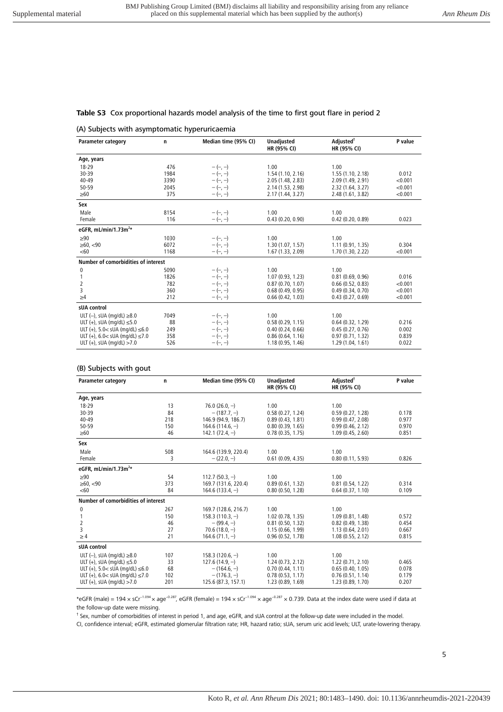#### **Table S3** Cox proportional hazards model analysis of the time to first gout flare in period 2

#### (A) Subjects with asymptomatic hyperuricaemia

| <b>Parameter category</b>               | n    | Median time (95% CI) | <b>Unadjusted</b><br>HR (95% CI) | Adjusted <sup>†</sup><br>HR (95% CI) | P value |
|-----------------------------------------|------|----------------------|----------------------------------|--------------------------------------|---------|
| Age, years                              |      |                      |                                  |                                      |         |
| 18-29                                   | 476  | $-(-, -)$            | 1.00                             | 1.00                                 |         |
| 30-39                                   | 1984 | $-(-, -)$            | 1.54(1.10, 2.16)                 | 1.55(1.10, 2.18)                     | 0.012   |
| $40 - 49$                               | 3390 | $-(-, -)$            | 2.05 (1.48, 2.83)                | 2.09 (1.49, 2.91)                    | < 0.001 |
| 50-59                                   | 2045 | $-(-, -)$            | 2.14 (1.53, 2.98)                | 2.32 (1.64, 3.27)                    | < 0.001 |
| $\geq 60$                               | 375  | $-(-, -)$            | 2.17 (1.44, 3.27)                | 2.48 (1.61, 3.82)                    | < 0.001 |
| Sex                                     |      |                      |                                  |                                      |         |
| Male                                    | 8154 | $-(-, -)$            | 1.00                             | 1.00                                 |         |
| Female                                  | 116  | $-(-, -)$            | 0.43(0.20, 0.90)                 | 0.42(0.20, 0.89)                     | 0.023   |
| eGFR, mL/min/1.73 $m2*$                 |      |                      |                                  |                                      |         |
| $\geq 90$                               | 1030 | $-(-, -)$            | 1.00                             | 1.00                                 |         |
| $\geq 60, < 90$                         | 6072 | $-(-, -)$            | 1.30(1.07, 1.57)                 | 1.11(0.91, 1.35)                     | 0.304   |
| <60                                     | 1168 | $-(-, -)$            | 1.67(1.33, 2.09)                 | 1.70 (1.30, 2.22)                    | < 0.001 |
| Number of comorbidities of interest     |      |                      |                                  |                                      |         |
| 0                                       | 5090 | $-(-, -)$            | 1.00                             | 1.00                                 |         |
|                                         | 1826 | $-(-, -)$            | 1.07 (0.93, 1.23)                | 0.81(0.69, 0.96)                     | 0.016   |
| 2                                       | 782  | $-(-, -)$            | 0.87(0.70, 1.07)                 | 0.66(0.52, 0.83)                     | < 0.001 |
| 3                                       | 360  | $-(-, -)$            | 0.68(0.49, 0.95)                 | 0.49(0.34, 0.70)                     | < 0.001 |
| $\geq 4$                                | 212  | $-(-, -)$            | 0.66(0.42, 1.03)                 | 0.43(0.27, 0.69)                     | < 0.001 |
| sUA control                             |      |                      |                                  |                                      |         |
| ULT $(-)$ , sUA (mg/dL) $\geq 8.0$      | 7049 | $-(-, -)$            | 1.00                             | 1.00                                 |         |
| ULT $(+)$ , sUA (mg/dL) $\leq$ 5.0      | 88   | $-(-, -)$            | 0.58(0.29, 1.15)                 | 0.64(0.32, 1.29)                     | 0.216   |
| ULT (+), $5.0 <$ sUA (mg/dL) $\leq 6.0$ | 249  | $-(-, -)$            | 0.40(0.24, 0.66)                 | 0.45(0.27, 0.76)                     | 0.002   |
| ULT (+), $6.0 <$ sUA (mg/dL) $\leq 7.0$ | 358  | $-(-, -)$            | 0.86(0.64, 1.16)                 | 0.97(0.71, 1.32)                     | 0.839   |
| ULT $(+)$ , sUA (mg/dL) >7.0            | 526  | $-(-, -)$            | 1.18(0.95, 1.46)                 | 1.29 (1.04, 1.61)                    | 0.022   |

#### (B) Subjects with gout

| <b>Parameter category</b>               | n   | Median time (95% CI) | <b>Unadjusted</b><br>HR (95% CI) | Adjusted <sup>†</sup><br>HR (95% CI) | P value |
|-----------------------------------------|-----|----------------------|----------------------------------|--------------------------------------|---------|
| Age, years                              |     |                      |                                  |                                      |         |
| 18-29                                   | 13  | 76.0 $(26.0, -)$     | 1.00                             | 1.00                                 |         |
| 30-39                                   | 84  | $-(187.7,-)$         | 0.58(0.27, 1.24)                 | 0.59(0.27, 1.28)                     | 0.178   |
| $40 - 49$                               | 218 | 146.9 (94.9, 186.7)  | 0.89(0.43, 1.81)                 | 0.99(0.47, 2.08)                     | 0.977   |
| $50 - 59$                               | 150 | $164.6(114.6, -)$    | 0.80(0.39, 1.65)                 | 0.99(0.46, 2.12)                     | 0.970   |
| $\geq 60$                               | 46  | $142.1 (72.4, -)$    | 0.78(0.35, 1.75)                 | 1.09(0.45, 2.60)                     | 0.851   |
| Sex                                     |     |                      |                                  |                                      |         |
| Male                                    | 508 | 164.6 (139.9, 220.4) | 1.00                             | 1.00                                 |         |
| Female                                  | 3   | $-(22.0,-)$          | 0.61(0.09, 4.35)                 | 0.80(0.11, 5.93)                     | 0.826   |
| eGFR, mL/min/1.73m <sup>2*</sup>        |     |                      |                                  |                                      |         |
| $\geq 90$                               | 54  | 112.7 $(50.3, -)$    | 1.00                             | 1.00                                 |         |
| $\geq 60.$ <90                          | 373 | 169.7 (131.6, 220.4) | 0.89(0.61, 1.32)                 | 0.81(0.54, 1.22)                     | 0.314   |
| < 60                                    | 84  | $164.6(133.4, -)$    | 0.80(0.50, 1.28)                 | 0.64(0.37, 1.10)                     | 0.109   |
| Number of comorbidities of interest     |     |                      |                                  |                                      |         |
| 0                                       | 267 | 169.7 (128.6, 216.7) | 1.00                             | 1.00                                 |         |
|                                         | 150 | $158.3(110.3, -)$    | 1.02(0.78, 1.35)                 | 1.09(0.81, 1.48)                     | 0.572   |
| 2                                       | 46  | $-(99.4,-)$          | 0.81(0.50, 1.32)                 | 0.82(0.49.1.38)                      | 0.454   |
| 3                                       | 27  | $70.6(18.0,-)$       | 1.15(0.66, 1.99)                 | 1.13(0.64, 2.01)                     | 0.667   |
| $\geq 4$                                | 21  | $164.6(71.1,-)$      | 0.96(0.52, 1.78)                 | 1.08(0.55, 2.12)                     | 0.815   |
| sUA control                             |     |                      |                                  |                                      |         |
| ULT (-), sUA (mg/dL) $\geq$ 8.0         | 107 | $158.3(120.6, -)$    | 1.00                             | 1.00                                 |         |
| ULT $(+)$ , sUA (mg/dL) $\leq$ 5.0      | 33  | $127.6(14.9,-)$      | 1.24(0.73, 2.12)                 | 1.22(0.71, 2.10)                     | 0.465   |
| ULT (+), $5.0 <$ sUA (mg/dL) $\leq 6.0$ | 68  | $-$ (164.6, $-$ )    | 0.70(0.44, 1.11)                 | 0.65(0.40.1.05)                      | 0.078   |
| ULT $(+)$ , 6.0< sUA (mg/dL) $\leq$ 7.0 | 102 | $-$ (176.3. $-$ )    | 0.78(0.53, 1.17)                 | 0.76(0.51, 1.14)                     | 0.179   |
| ULT $(+)$ , sUA (mg/dL) >7.0            | 201 | 125.6 (87.3, 157.1)  | 1.23 (0.89, 1.69)                | 1.23(0.89, 1.70)                     | 0.207   |

\*eGFR (male) = 194 × sCr−1.094 × age−0.287, eGFR (female) = 194 × sCr−1.094 × age−0.287 × 0.739. Data at the index date were used if data at the follow-up date were missing.

† Sex, number of comorbidities of interest in period 1, and age, eGFR, and sUA control at the follow-up date were included in the model.

CI, confidence interval; eGFR, estimated glomerular filtration rate; HR, hazard ratio; sUA, serum uric acid levels; ULT, urate-lowering therapy.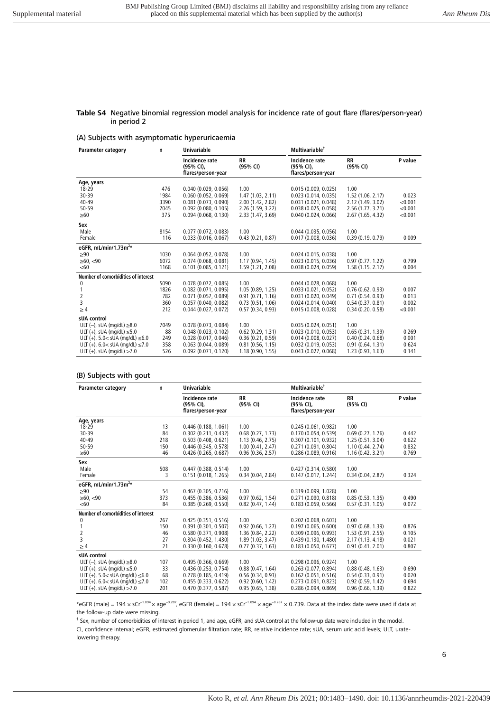#### **Table S4** Negative binomial regression model analysis for incidence rate of gout flare (flares/person-year) in period 2

#### (A) Subjects with asymptomatic hyperuricaemia

| <b>Parameter category</b>               | n    | Univariable                                       |                       | Multivariable <sup>†</sup>                        |                       |         |  |
|-----------------------------------------|------|---------------------------------------------------|-----------------------|---------------------------------------------------|-----------------------|---------|--|
|                                         |      | Incidence rate<br>(95% CI),<br>flares/person-year | <b>RR</b><br>(95% CI) | Incidence rate<br>(95% CI),<br>flares/person-year | <b>RR</b><br>(95% CI) | P value |  |
| Age, years                              |      |                                                   |                       |                                                   |                       |         |  |
| $18 - 29$                               | 476  | 0.040(0.029, 0.056)                               | 1.00                  | 0.015(0.009, 0.025)                               | 1.00                  |         |  |
| 30-39                                   | 1984 | 0.060(0.052, 0.069)                               | 1.47(1.03, 2.11)      | 0.023(0.014, 0.035)                               | 1.52 (1.06, 2.17)     | 0.023   |  |
| $40 - 49$                               | 3390 | 0.081(0.073, 0.090)                               | 2.00 (1.42, 2.82)     | 0.031(0.021, 0.048)                               | 2.12 (1.49, 3.02)     | < 0.001 |  |
| $50 - 59$                               | 2045 | $0.092$ (0.080, 0.105)                            | 2.26(1.59.3.22)       | 0.038(0.025, 0.058)                               | 2.56(1.77, 3.71)      | < 0.001 |  |
| $\geq 60$                               | 375  | 0.094(0.068, 0.130)                               | 2.33 (1.47, 3.69)     | 0.040(0.024, 0.066)                               | 2.67 (1.65, 4.32)     | < 0.001 |  |
| Sex                                     |      |                                                   |                       |                                                   |                       |         |  |
| Male                                    | 8154 | 0.077(0.072, 0.083)                               | 1.00                  | 0.044(0.035, 0.056)                               | 1.00                  |         |  |
| Female                                  | 116  | 0.033(0.016, 0.067)                               | 0.43(0.21, 0.87)      | 0.017(0.008, 0.036)                               | 0.39(0.19, 0.79)      | 0.009   |  |
| eGFR, mL/min/1.73 $m^{2*}$              |      |                                                   |                       |                                                   |                       |         |  |
| $\geq 90$                               | 1030 | 0.064(0.052, 0.078)                               | 1.00                  | 0.024(0.015, 0.038)                               | 1.00                  |         |  |
| $\geq 60, < 90$                         | 6072 | 0.074(0.068, 0.081)                               | 1.17(0.94, 1.45)      | 0.023(0.015, 0.036)                               | 0.97(0.77, 1.22)      | 0.799   |  |
| < 60                                    | 1168 | 0.101(0.085, 0.121)                               | 1.59 (1.21, 2.08)     | 0.038(0.024, 0.059)                               | 1.58(1.15, 2.17)      | 0.004   |  |
| Number of comorbidities of interest     |      |                                                   |                       |                                                   |                       |         |  |
| 0                                       | 5090 | 0.078(0.072, 0.085)                               | 1.00                  | 0.044(0.028, 0.068)                               | 1.00                  |         |  |
|                                         | 1826 | $0.082$ (0.071, 0.095)                            | 1.05(0.89, 1.25)      | 0.033(0.021, 0.052)                               | 0.76(0.62, 0.93)      | 0.007   |  |
| 2                                       | 782  | 0.071(0.057, 0.089)                               | 0.91(0.71, 1.16)      | 0.031(0.020, 0.049)                               | 0.71(0.54, 0.93)      | 0.013   |  |
| 3                                       | 360  | 0.057(0.040, 0.082)                               | 0.73(0.51, 1.06)      | 0.024(0.014, 0.040)                               | 0.54(0.37, 0.81)      | 0.002   |  |
| $\geq 4$                                | 212  | 0.044(0.027, 0.072)                               | 0.57(0.34, 0.93)      | 0.015(0.008, 0.028)                               | 0.34(0.20, 0.58)      | < 0.001 |  |
| sUA control                             |      |                                                   |                       |                                                   |                       |         |  |
| ULT $(-)$ , sUA (mg/dL) $\geq$ 8.0      | 7049 | 0.078(0.073, 0.084)                               | 1.00                  | 0.035(0.024, 0.051)                               | 1.00                  |         |  |
| ULT $(+)$ , sUA (mg/dL) $\leq$ 5.0      | 88   | 0.048(0.023, 0.102)                               | 0.62(0.29, 1.31)      | 0.023(0.010, 0.053)                               | 0.65(0.31, 1.39)      | 0.269   |  |
| ULT (+), $5.0 <$ sUA (mg/dL) $\leq 6.0$ | 249  | 0.028(0.017, 0.046)                               | 0.36(0.21, 0.59)      | 0.014(0.008, 0.027)                               | 0.40(0.24, 0.68)      | 0.001   |  |
| ULT $(+)$ , 6.0< sUA (mg/dL) $\leq$ 7.0 | 358  | 0.063(0.044, 0.089)                               | 0.81(0.56, 1.15)      | 0.032(0.019, 0.053)                               | 0.91(0.64, 1.31)      | 0.624   |  |
| ULT $(+)$ , sUA (mg/dL) >7.0            | 526  | $0.092$ (0.071, 0.120)                            | 1.18(0.90, 1.55)      | 0.043(0.027, 0.068)                               | 1.23(0.93, 1.63)      | 0.141   |  |

#### (B) Subjects with gout

| <b>Parameter category</b>               | n   | <b>Univariable</b>                                |                       | Multivariable <sup>†</sup>                        |                       |         |
|-----------------------------------------|-----|---------------------------------------------------|-----------------------|---------------------------------------------------|-----------------------|---------|
|                                         |     | Incidence rate<br>(95% CI),<br>flares/person-year | <b>RR</b><br>(95% CI) | Incidence rate<br>(95% CI),<br>flares/person-year | <b>RR</b><br>(95% CI) | P value |
| Age, years                              |     |                                                   |                       |                                                   |                       |         |
| 18-29                                   | 13  | 0.446(0.188, 1.061)                               | 1.00                  | 0.245(0.061, 0.982)                               | 1.00                  |         |
| 30-39                                   | 84  | 0.302(0.211, 0.432)                               | 0.68(0.27, 1.73)      | 0.170(0.054, 0.539)                               | 0.69(0.27, 1.76)      | 0.442   |
| $40 - 49$                               | 218 | 0.503(0.408, 0.621)                               | 1.13(0.46, 2.75)      | 0.307(0.101, 0.932)                               | 1.25(0.51, 3.04)      | 0.622   |
| 50-59                                   | 150 | 0.446 (0.345, 0.578)                              | 1.00(0.41, 2.47)      | 0.271(0.091, 0.804)                               | 1.10(0.44, 2.74)      | 0.832   |
| $\geq 60$                               | 46  | 0.426(0.265, 0.687)                               | 0.96(0.36, 2.57)      | 0.286 (0.089, 0.916)                              | 1.16(0.42, 3.21)      | 0.769   |
| Sex                                     |     |                                                   |                       |                                                   |                       |         |
| Male                                    | 508 | 0.447(0.388, 0.514)                               | 1.00                  | 0.427(0.314, 0.580)                               | 1.00                  |         |
| Female                                  | 3   | 0.151(0.018, 1.265)                               | 0.34(0.04, 2.84)      | 0.147(0.017, 1.244)                               | 0.34(0.04, 2.87)      | 0.324   |
| eGFR, mL/min/1.73 $m^{2*}$              |     |                                                   |                       |                                                   |                       |         |
| $\geq 90$                               | 54  | 0.467(0.305, 0.716)                               | 1.00                  | 0.319(0.099, 1.028)                               | 1.00                  |         |
| $\geq 60, < 90$                         | 373 | 0.455(0.386, 0.536)                               | 0.97(0.62, 1.54)      | 0.271(0.090, 0.818)                               | 0.85(0.53, 1.35)      | 0.490   |
| < 60                                    | 84  | 0.385(0.269, 0.550)                               | 0.82(0.47, 1.44)      | 0.183(0.059, 0.566)                               | 0.57(0.31, 1.05)      | 0.072   |
| Number of comorbidities of interest     |     |                                                   |                       |                                                   |                       |         |
| 0                                       | 267 | 0.425(0.351, 0.516)                               | 1.00                  | 0.202(0.068, 0.603)                               | 1.00                  |         |
|                                         | 150 | 0.391(0.301, 0.507)                               | 0.92(0.66, 1.27)      | 0.197(0.065, 0.600)                               | 0.97(0.68, 1.39)      | 0.876   |
| 2                                       | 46  | 0.580 (0.371, 0.908)                              | 1.36 (0.84, 2.22)     | 0.309 (0.096, 0.993)                              | 1.53(0.91, 2.55)      | 0.105   |
| 3                                       | 27  | 0.804(0.452, 1.430)                               | 1.89(1.03, 3.47)      | 0.439(0.130, 1.480)                               | 2.17 (1.13, 4.18)     | 0.021   |
| $\geq 4$                                | 21  | 0.330(0.160, 0.678)                               | 0.77(0.37, 1.63)      | 0.183(0.050, 0.677)                               | 0.91(0.41, 2.01)      | 0.807   |
| sUA control                             |     |                                                   |                       |                                                   |                       |         |
| ULT $(-)$ , sUA (mg/dL) $\geq$ 8.0      | 107 | 0.495(0.366, 0.669)                               | 1.00                  | 0.298(0.096, 0.924)                               | 1.00                  |         |
| ULT $(+)$ , sUA (mg/dL) $\leq$ 5.0      | 33  | 0.436(0.253, 0.754)                               | 0.88(0.47, 1.64)      | 0.263(0.077, 0.894)                               | 0.88(0.48, 1.63)      | 0.690   |
| ULT (+), $5.0 <$ sUA (mg/dL) $\leq 6.0$ | 68  | 0.278(0.185, 0.419)                               | 0.56(0.34, 0.93)      | 0.162(0.051, 0.516)                               | 0.54(0.33, 0.91)      | 0.020   |
| ULT (+), $6.0 <$ sUA (mg/dL) $\leq 7.0$ | 102 | 0.455(0.333, 0.622)                               | 0.92(0.60, 1.42)      | 0.273(0.091, 0.823)                               | 0.92(0.59, 1.42)      | 0.694   |
| ULT $(+)$ , sUA (mg/dL) >7.0            | 201 | 0.470(0.377, 0.587)                               | 0.95(0.65, 1.38)      | 0.286(0.094, 0.869)                               | 0.96(0.66, 1.39)      | 0.822   |

\*eGFR (male) = 194 × sCr<sup>-1.094</sup> × age<sup>-0.287</sup>, eGFR (female) = 194 × sCr<sup>-1.094</sup> × age<sup>-0.287</sup> × 0.739. Data at the index date were used if data at the follow-up date were missing.

† Sex, number of comorbidities of interest in period 1, and age, eGFR, and sUA control at the follow-up date were included in the model.

CI, confidence interval; eGFR, estimated glomerular filtration rate; RR, relative incidence rate; sUA, serum uric acid levels; ULT, uratelowering therapy.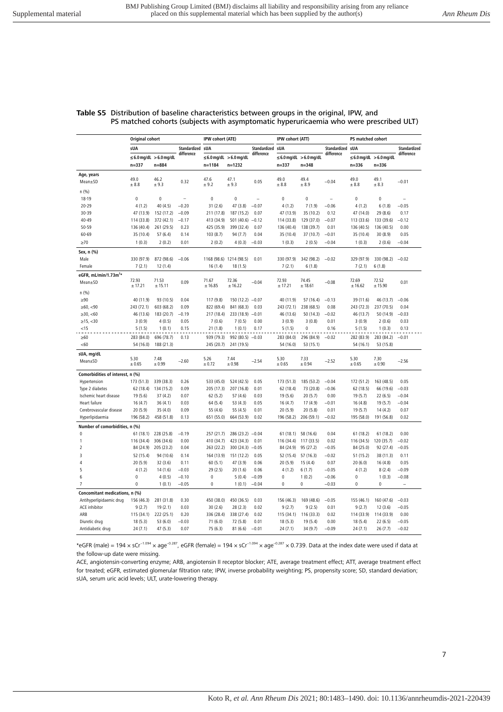|                                  | Original cohort         |                                | IPW cohort (ATE) |                          |                                | IPW cohort (ATT) |                         |                                | PS matched cohort |                         |                                |                |
|----------------------------------|-------------------------|--------------------------------|------------------|--------------------------|--------------------------------|------------------|-------------------------|--------------------------------|-------------------|-------------------------|--------------------------------|----------------|
|                                  | sUA                     |                                | Standardized sUA |                          |                                | Standardized sUA |                         |                                | Standardized sUA  |                         |                                | Standardized   |
|                                  |                         | $\leq$ 6.0 mg/dL $>$ 6.0 mg/dL | difference       |                          | $\leq$ 6.0 mg/dL $>$ 6.0 mg/dL | difference       |                         | $\leq$ 6.0 mg/dL $>$ 6.0 mg/dL | difference        |                         | $\leq$ 6.0 mg/dL $>$ 6.0 mg/dL | difference     |
|                                  | $n = 337$               | $n = 884$                      |                  | $n = 1184$               | $n = 1232$                     |                  | $n = 337$               | $n = 348$                      |                   | $n = 336$               | $n = 336$                      |                |
| Age, years                       |                         |                                |                  |                          |                                |                  |                         |                                |                   |                         |                                |                |
| Mean±SD                          | 49.0<br>± 8.8           | 46.2<br>± 9.3                  | 0.32             | 47.6<br>± 9.2            | 47.1<br>± 9.3                  | 0.05             | 49.0<br>$\pm$ 8.8       | 49.4<br>± 8.9                  | $-0.04$           | 49.0<br>± 8.8           | 49.1<br>± 8.3                  | $-0.01$        |
| n(%)                             |                         |                                |                  |                          |                                |                  |                         |                                |                   |                         |                                |                |
| 18-19                            | $\pmb{0}$               | $\mathbf{0}$                   | $\overline{a}$   | $\pmb{0}$                | $\Omega$                       | $\overline{a}$   | 0                       | $\pmb{0}$                      | $\overline{a}$    | 0                       | 0                              |                |
| $20 - 29$                        | 4(1.2)                  | 40 (4.5)                       | $-0.20$          | 31(2.6)                  | 47 (3.8)                       | $-0.07$          | 4(1.2)                  | 7(1.9)                         | $-0.06$           | 4(1.2)                  | 6(1.8)                         | $-0.05$        |
| 30-39                            | 47 (13.9)               | 152 (17.2)                     | $-0.09$          | 211 (17.8)               | 187 (15.2)                     | 0.07             | 47 (13.9)               | 35 (10.2)                      | 0.12              | 47 (14.0)               | 29 (8.6)                       | 0.17           |
| 40-49                            | 114 (33.8)              | 372 (42.1)                     | $-0.17$          | 413 (34.9)               | 501 (40.6)                     | $-0.12$          | 114 (33.8)              | 129 (37.0)                     | $-0.07$           | 113 (33.6)              | 133 (39.6)                     | $-0.12$        |
| 50-59                            | 136 (40.4)              | 261 (29.5)                     | 0.23             | 425 (35.9)               | 399 (32.4)                     | 0.07             | 136 (40.4)              | 138 (39.7)                     | 0.01              | 136 (40.5)              | 136 (40.5)                     | 0.00           |
| 60-69                            | 35 (10.4)               | 57(6.4)                        | 0.14             | 103(8.7)                 | 94 (7.7)                       | 0.04             | 35 (10.4)               | 37(10.7)                       | $-0.01$           | 35 (10.4)               | 30 (8.9)                       | 0.05           |
| $\geq 70$                        | 1(0.3)                  | 2(0.2)                         | 0.01             | 2(0.2)                   | 4(0.3)                         | $-0.03$          | 1(0.3)                  | 2(0.5)                         | $-0.04$           | 1(0.3)                  | 2(0.6)                         | $-0.04$        |
| Sex, n (%)                       |                         |                                |                  |                          |                                |                  |                         |                                |                   |                         |                                |                |
| Male                             | 330 (97.9)              | 872 (98.6)                     | $-0.06$          |                          | 1168 (98.6) 1214 (98.5)        | 0.01             | 330 (97.9)              | 342 (98.2)                     | $-0.02$           | 329 (97.9)              | 330 (98.2)                     | $-0.02$        |
| Female                           | 7(2.1)                  | 12(1.4)                        |                  | 16(1.4)                  | 18 (1.5)                       |                  | 7(2.1)                  | 6(1.8)                         |                   | 7(2.1)                  | 6(1.8)                         |                |
| eGFR, mL/min/1.73 $m2$ *         |                         |                                |                  |                          |                                |                  |                         |                                |                   |                         |                                |                |
| Mean±SD                          | 72.93<br>± 17.21        | 71.53<br>± 15.11               | 0.09             | 71.67<br>± 16.85         | 72.36<br>± 16.22               | $-0.04$          | 72.93<br>± 17.21        | 74.45<br>± 18.61               | $-0.08$           | 72.69<br>± 16.62        | 72.52<br>± 15.90               | 0.01           |
| n(%)                             |                         |                                |                  |                          |                                |                  |                         |                                |                   |                         |                                |                |
| $\geq 90$                        | 40 (11.9)               | 93 (10.5)                      | 0.04             | 117 (9.8)                | $150(12.2) -0.07$              |                  | 40 (11.9)               | 57 (16.4)                      | $-0.13$           | 39 (11.6)               | 46 (13.7)                      | $-0.06$        |
| ≥60, < 90                        | 243 (72.1)              | 603 (68.2)                     | 0.09             | 822 (69.4)               | 841 (68.3)                     | 0.03             | 243 (72.1)              | 238 (68.5)                     | 0.08              | 243 (72.3)              | 237 (70.5)                     | 0.04           |
| ≥30, <60                         | 46 (13.6)               | 183 (20.7)                     | $-0.19$          | 217 (18.4)               | 233 (18.9)                     | $-0.01$          | 46 (13.6)               | 50 (14.3)                      | $-0.02$           | 46 (13.7)               | 50 (14.9)                      | $-0.03$        |
| ≥15, < 30                        | 3(0.9)                  | 4(0.5)                         | 0.05             | 7(0.6)                   | 7(0.5)                         | 0.00             | 3(0.9)                  | 3(0.8)                         | 0.01              | 3(0.9)                  | 2(0.6)                         | 0.03           |
| $<$ 15                           | 5(1.5)                  | 1(0.1)                         | 0.15             | 21(1.8)                  | 1(0.1)                         | 0.17             | 5(1.5)                  | $\pmb{0}$                      | 0.16              | 5(1.5)                  | 1(0.3)                         | 0.13           |
| $\geq 60$                        |                         | 696 (78.7)                     | 0.13             |                          | 992 (80.5)                     | $-0.03$          |                         | 296 (84.9)                     | $-0.02$           |                         |                                | $-0.01$        |
| <60                              | 283 (84.0)<br>54 (16.0) | 188 (21.3)                     |                  | 939 (79.3)<br>245 (20.7) | 241 (19.5)                     |                  | 283 (84.0)<br>54 (16.0) | 53 (15.1)                      |                   | 282 (83.9)<br>54 (16.1) | 283 (84.2)<br>53 (15.8)        |                |
|                                  |                         |                                |                  |                          |                                |                  |                         |                                |                   |                         |                                |                |
| sUA, mg/dL                       | 5.30                    | 7.48                           |                  | 5.26                     | 7.44                           |                  | 5.30                    | 7.33                           |                   | 5.30                    | 7.30                           |                |
| Mean±SD                          | $\pm 0.65$              | ±0.99                          | $-2.60$          | ± 0.72                   | ± 0.98                         | $-2.54$          | ± 0.65                  | $\pm 0.94$                     | $-2.52$           | ± 0.65                  | ± 0.90                         | $-2.56$        |
| Comorbidities of interest, n (%) |                         |                                |                  |                          |                                |                  |                         |                                |                   |                         |                                |                |
| Hypertension                     | 173 (51.3)              | 339 (38.3)                     | 0.26             | 533 (45.0)               | 524 (42.5)                     | 0.05             | 173 (51.3)              | 185 (53.2)                     | $-0.04$           | 172 (51.2)              | 163 (48.5)                     | 0.05           |
| Type 2 diabetes                  | 62 (18.4)               | 134 (15.2)                     | 0.09             | 205 (17.3)               | 207 (16.8)                     | 0.01             | 62 (18.4)               | 73 (20.8)                      | $-0.06$           | 62 (18.5)               | 66 (19.6)                      | $-0.03$        |
| Ischemic heart disease           | 19 (5.6)                | 37(4.2)                        | 0.07             | 62(5.2)                  | 57 (4.6)                       | 0.03             | 19(5.6)                 | 20(5.7)                        | 0.00              | 19(5.7)                 | 22(6.5)                        | $-0.04$        |
| Heart failure                    | 16(4.7)                 | 36(4.1)                        | 0.03             | 64 (5.4)                 | 53 (4.3)                       | 0.05             | 16(4.7)                 | 17 (4.9)                       | $-0.01$           | 16(4.8)                 | 19(5.7)                        | $-0.04$        |
| Cerebrovascular disease          | 20(5.9)                 | 35 (4.0)                       | 0.09             | 55 (4.6)                 | 55 (4.5)                       | 0.01             | 20 (5.9)                | 20(5.8)                        | 0.01              | 19(5.7)                 | 14(4.2)                        | 0.07           |
| Hyperlipidaemia                  | 196 (58.2)              | 458 (51.8)                     | 0.13             | 651 (55.0)               | 664 (53.9)                     | 0.02             | 196 (58.2)              | 206 (59.1)                     | $-0.02$           | 195 (58.0)              | 191 (56.8)                     | 0.02           |
| Number of comorbidities, n (%)   |                         |                                |                  |                          |                                |                  |                         |                                |                   |                         |                                |                |
| $\pmb{0}$                        | 61(18.1)                | 228 (25.8)                     | $-0.19$          | 257 (21.7)               | 286 (23.2)                     | $-0.04$          | 61(18.1)                | 58 (16.6)                      | 0.04              | 61(18.2)                | 61(18.2)                       | 0.00           |
| $\overline{1}$                   | 116 (34.4)              | 306 (34.6)                     | 0.00             | 410 (34.7)               | 423 (34.3)                     | 0.01             | 116 (34.4)              | 117 (33.5)                     | 0.02              | 116 (34.5)              | 120 (35.7)                     | $-0.02$        |
| $\overline{2}$                   | 84 (24.9)               | 205 (23.2)                     | 0.04             | 263 (22.2)               | 300 (24.3)                     | $-0.05$          | 84 (24.9)               | 95 (27.2)                      | $-0.05$           | 84 (25.0)               | 92 (27.4)                      | $-0.05$        |
| 3                                | 52 (15.4)               | 94 (10.6)                      | 0.14             | 164 (13.9)               | 151 (12.2)                     | 0.05             | 52 (15.4)               | 57 (16.3)                      | $-0.02$           | 51 (15.2)               | 38 (11.3)                      | 0.11           |
| $\overline{4}$                   | 20 (5.9)                | 32(3.6)                        | 0.11             | 60(5.1)                  | 47 (3.9)                       | 0.06             | 20 (5.9)                | 15(4.4)                        | 0.07              | 20(6.0)                 | 16 (4.8)                       | 0.05           |
| 5                                | 4(1.2)                  | 14(1.6)                        | $-0.03$          | 29(2.5)                  | 20(1.6)                        | 0.06             | 4(1.2)                  | 6(1.7)                         | $-0.05$           | 4(1.2)                  | 8(2.4)                         | $-0.09$        |
| 6                                | $\pmb{0}$               | 4(0.5)                         | $-0.10$          | $\pmb{0}$                | 5(0.4)                         | $-0.09$          | 0                       | 1(0.2)                         | $-0.06$           | 0                       | 1(0.3)                         | $-0.08$        |
| $\overline{7}$                   | $\pmb{0}$               | 1(0.1)                         | $-0.05$          | $\mathbf 0$              | 1(0.1)                         | $-0.04$          | $\mathbf{0}$            | $\mathbf 0$                    | $-0.03$           | $\mathbf 0$             | $\mathbf 0$                    | $\overline{a}$ |
| Concomitant medications, n (%)   |                         |                                |                  |                          |                                |                  |                         |                                |                   |                         |                                |                |
| Antihyperlipidaemic drug         | 156 (46.3)              | 281 (31.8)                     | 0.30             | 450 (38.0)               | 450 (36.5)                     | 0.03             | 156 (46.3)              | 169 (48.6)                     | $-0.05$           | 155 (46.1)              | 160 (47.6)                     | $-0.03$        |
| ACE inhibitor                    | 9(2.7)                  | 19(2.1)                        | 0.03             | 30(2.6)                  | 28(2.3)                        | 0.02             | 9(2.7)                  | 9(2.5)                         | 0.01              | 9(2.7)                  | 12(3.6)                        | $-0.05$        |
| ARB                              | 115 (34.1)              | 222 (25.1)                     | 0.20             | 336 (28.4)               | 338 (27.4)                     | 0.02             | 115 (34.1)              | 116 (33.3)                     | 0.02              | 114 (33.9)              | 114 (33.9)                     | 0.00           |
| Diuretic drug                    | 18(5.3)                 | 53 (6.0)                       | $-0.03$          | 71(6.0)                  | 72 (5.8)                       | 0.01             | 18(5.3)                 | 19 (5.4)                       | 0.00              | 18(5.4)                 | 22(6.5)                        | $-0.05$        |
| Antidiabetic drug                | 24(7.1)                 | 47 (5.3)                       | 0.07             | 75 (6.3)                 | 81(6.6)                        | $-0.01$          | 24(7.1)                 | 34 (9.7)                       | $-0.09$           | 24(7.1)                 | 26(7.7)                        | $-0.02$        |

#### **Table S5** Distribution of baseline characteristics between groups in the original, IPW, and PS matched cohorts (subjects with asymptomatic hyperuricaemia who were prescribed ULT)

\*eGFR (male) = 194 × sCr<sup>-1.094</sup> × age<sup>-0.287</sup>, eGFR (female) = 194 × sCr<sup>-1.094</sup> × age<sup>-0.287</sup> × 0.739. Data at the index date were used if data at the follow-up date were missing.

ACE, angiotensin-converting enzyme; ARB, angiotensin II receptor blocker; ATE, average treatment effect; ATT, average treatment effect for treated; eGFR, estimated glomerular filtration rate; IPW, inverse probability weighting; PS, propensity score; SD, standard deviation; sUA, serum uric acid levels; ULT, urate-lowering therapy.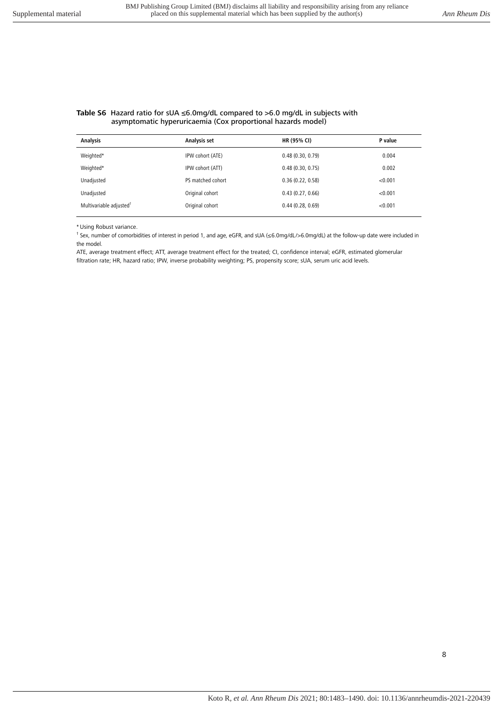#### **Table S6** Hazard ratio for sUA ≤6.0mg/dL compared to >6.0 mg/dL in subjects with asymptomatic hyperuricaemia (Cox proportional hazards model)

| <b>Analysis</b>                     | Analysis set      | HR (95% CI)      | P value |
|-------------------------------------|-------------------|------------------|---------|
| Weighted*                           | IPW cohort (ATE)  | 0.48(0.30, 0.79) | 0.004   |
| Weighted*                           | IPW cohort (ATT)  | 0.48(0.30, 0.75) | 0.002   |
| Unadjusted                          | PS matched cohort | 0.36(0.22, 0.58) | < 0.001 |
| Unadjusted                          | Original cohort   | 0.43(0.27, 0.66) | < 0.001 |
| Multivariable adjusted <sup>†</sup> | Original cohort   | 0.44(0.28, 0.69) | < 0.001 |
|                                     |                   |                  |         |

\* Using Robust variance.

† Sex, number of comorbidities of interest in period 1, and age, eGFR, and sUA (≤6.0mg/dL/>6.0mg/dL) at the follow-up date were included in the model.

ATE, average treatment effect; ATT, average treatment effect for the treated; CI, confidence interval; eGFR, estimated glomerular filtration rate; HR, hazard ratio; IPW, inverse probability weighting; PS, propensity score; sUA, serum uric acid levels.